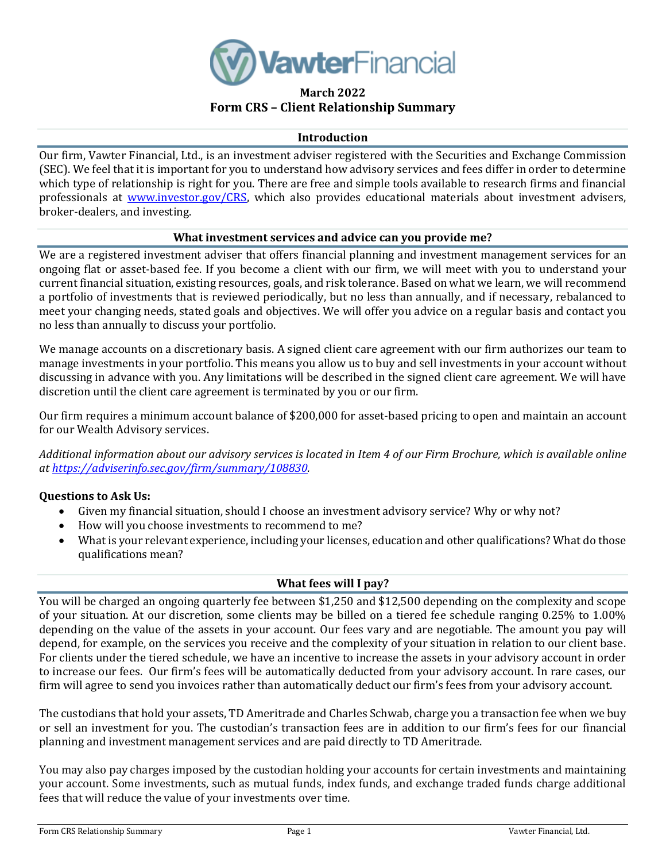

# **March 2022 Form CRS – Client Relationship Summary**

### **Introduction**

Our firm, Vawter Financial, Ltd., is an investment adviser registered with the Securities and Exchange Commission (SEC). We feel that it is important for you to understand how advisory services and fees differ in order to determine which type of relationship is right for you. There are free and simple tools available to research firms and financial professionals at **www.investor.gov/CRS**, which also provides educational materials about investment advisers, broker-dealers, and investing.

### **What investment services and advice can you provide me?**

We are a registered investment adviser that offers financial planning and investment management services for an ongoing flat or asset-based fee. If you become a client with our firm, we will meet with you to understand your current financial situation, existing resources, goals, and risk tolerance. Based on what we learn, we will recommend a portfolio of investments that is reviewed periodically, but no less than annually, and if necessary, rebalanced to meet your changing needs, stated goals and objectives. We will offer you advice on a regular basis and contact you no less than annually to discuss your portfolio.

We manage accounts on a discretionary basis. A signed client care agreement with our firm authorizes our team to manage investments in your portfolio. This means you allow us to buy and sell investments in your account without discussing in advance with you. Any limitations will be described in the signed client care agreement. We will have discretion until the client care agreement is terminated by you or our firm.

Our firm requires a minimum account balance of \$200,000 for asset-based pricing to open and maintain an account for our Wealth Advisory services.

*Additional information about our advisory services is located in Item 4 of our Firm Brochure, which is available online at [https://adviserinfo.sec.gov/firm/summary/108830.](https://adviserinfo.sec.gov/firm/summary/108830)* 

### **Questions to Ask Us:**

- Given my financial situation, should I choose an investment advisory service? Why or why not?
- How will you choose investments to recommend to me?
- What is your relevant experience, including your licenses, education and other qualifications? What do those qualifications mean?

## **What fees will I pay?**

You will be charged an ongoing quarterly fee between \$1,250 and \$12,500 depending on the complexity and scope of your situation. At our discretion, some clients may be billed on a tiered fee schedule ranging 0.25% to 1.00% depending on the value of the assets in your account. Our fees vary and are negotiable. The amount you pay will depend, for example, on the services you receive and the complexity of your situation in relation to our client base. For clients under the tiered schedule, we have an incentive to increase the assets in your advisory account in order to increase our fees. Our firm's fees will be automatically deducted from your advisory account. In rare cases, our firm will agree to send you invoices rather than automatically deduct our firm's fees from your advisory account.

The custodians that hold your assets, TD Ameritrade and Charles Schwab, charge you a transaction fee when we buy or sell an investment for you. The custodian's transaction fees are in addition to our firm's fees for our financial planning and investment management services and are paid directly to TD Ameritrade.

You may also pay charges imposed by the custodian holding your accounts for certain investments and maintaining your account. Some investments, such as mutual funds, index funds, and exchange traded funds charge additional fees that will reduce the value of your investments over time.